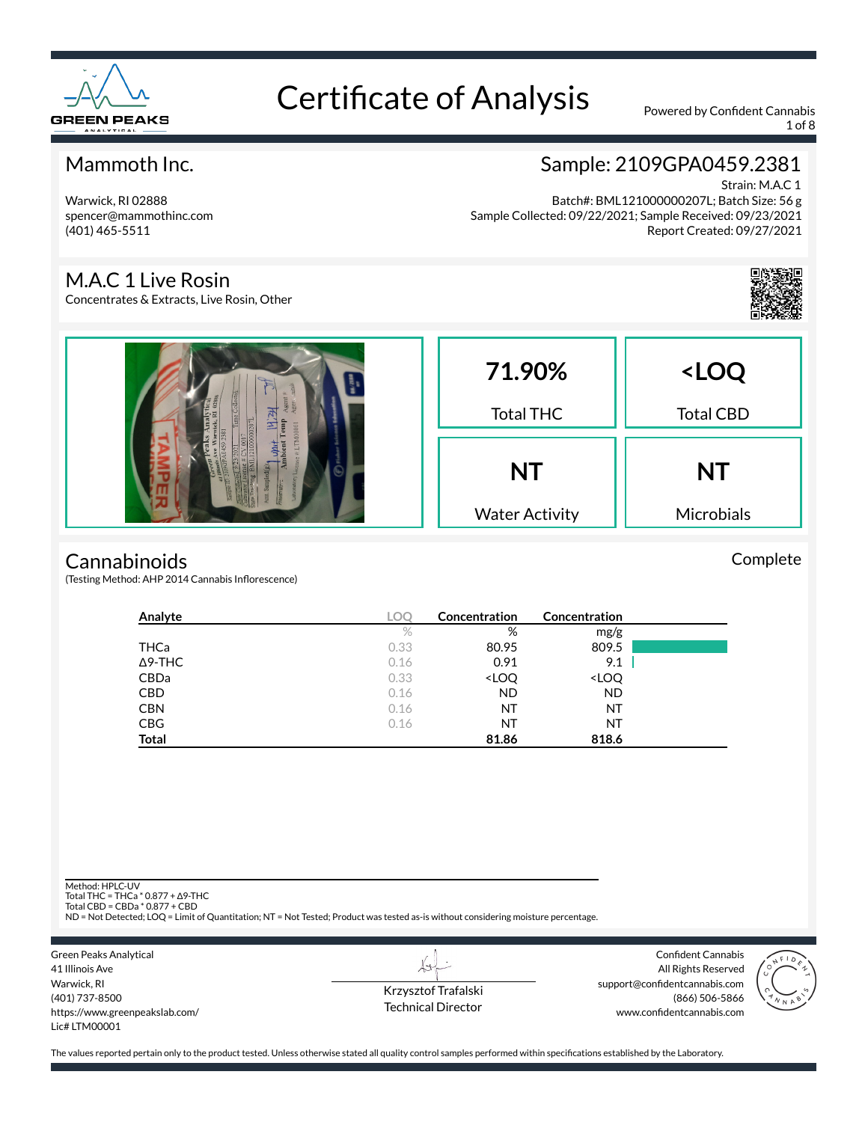

1 of 8

### Mammoth Inc.

Warwick, RI 02888 spencer@mammothinc.com (401) 465-5511

### Sample: 2109GPA0459.2381

Strain: M.A.C 1 Batch#: BML121000000207L; Batch Size: 56 g Sample Collected: 09/22/2021; Sample Received: 09/23/2021 Report Created: 09/27/2021

#### M.A.C 1 Live Rosin

Concentrates & Extracts, Live Rosin, Other



Complete

| emp | 71.90%<br><b>Total THC</b>         | <loq<br><b>Total CBD</b></loq<br> |  |
|-----|------------------------------------|-----------------------------------|--|
|     | <b>NT</b><br><b>Water Activity</b> | <b>NT</b><br>Microbials           |  |

#### **Cannabinoids**

(Testing Method: AHP 2014 Cannabis Inflorescence)

| Analyte        | LOC  | Concentration                                            | Concentration                |  |
|----------------|------|----------------------------------------------------------|------------------------------|--|
|                | $\%$ | %                                                        | mg/g                         |  |
| THCa           | 0.33 | 80.95                                                    | 809.5                        |  |
| $\Delta$ 9-THC | 0.16 | 0.91                                                     | 9.1                          |  |
| CBDa           | 0.33 | <loq< td=""><td><loq< td=""><td></td></loq<></td></loq<> | <loq< td=""><td></td></loq<> |  |
| <b>CBD</b>     | 0.16 | <b>ND</b>                                                | <b>ND</b>                    |  |
| <b>CBN</b>     | 0.16 | ΝT                                                       | NT                           |  |
| <b>CBG</b>     | 0.16 | ΝT                                                       | NT                           |  |
| <b>Total</b>   |      | 81.86                                                    | 818.6                        |  |

Method: HPLC-UV

Total THC = THCa \* 0.877 + ∆9-THC Total CBD = CBDa \* 0.877 + CBD

ND = Not Detected; LOQ = Limit of Quantitation; NT = Not Tested; Product was tested as-is without considering moisture percentage.

Green Peaks Analytical 41 Illinois Ave Warwick, RI (401) 737-8500 https://www.greenpeakslab.com/ Lic# LTM00001

Krzysztof Trafalski Technical Director

L+

Confident Cannabis All Rights Reserved support@confidentcannabis.com (866) 506-5866 www.confidentcannabis.com

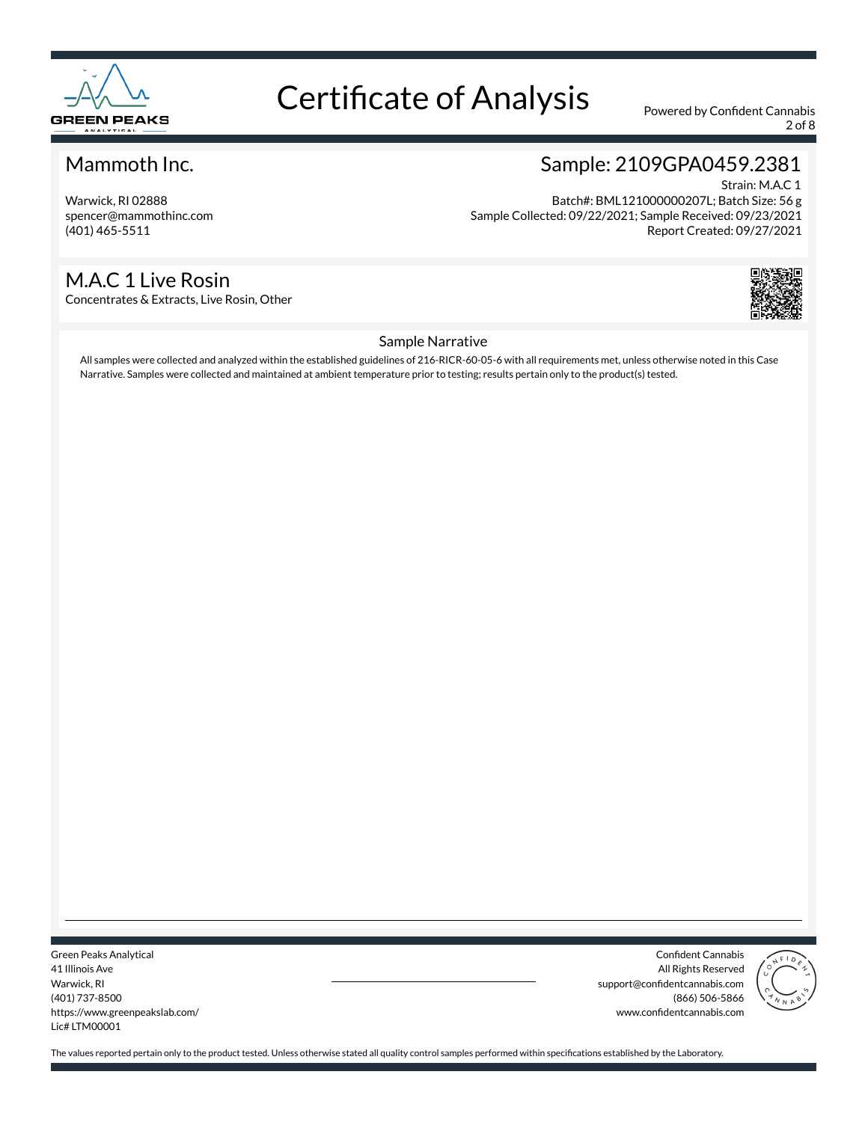

2 of 8

#### Mammoth Inc.

Warwick, RI 02888 spencer@mammothinc.com (401) 465-5511

#### Sample: 2109GPA0459.2381 Strain: M.A.C 1

Batch#: BML121000000207L; Batch Size: 56 g Sample Collected: 09/22/2021; Sample Received: 09/23/2021 Report Created: 09/27/2021

#### M.A.C 1 Live Rosin

Concentrates & Extracts, Live Rosin, Other



#### Sample Narrative

All samples were collected and analyzed within the established guidelines of 216-RICR-60-05-6 with all requirements met, unless otherwise noted in this Case Narrative. Samples were collected and maintained at ambient temperature prior to testing; results pertain only to the product(s) tested.

Green Peaks Analytical 41 Illinois Ave Warwick, RI (401) 737-8500 https://www.greenpeakslab.com/ Lic# LTM00001

Confident Cannabis All Rights Reserved support@confidentcannabis.com (866) 506-5866 www.confidentcannabis.com

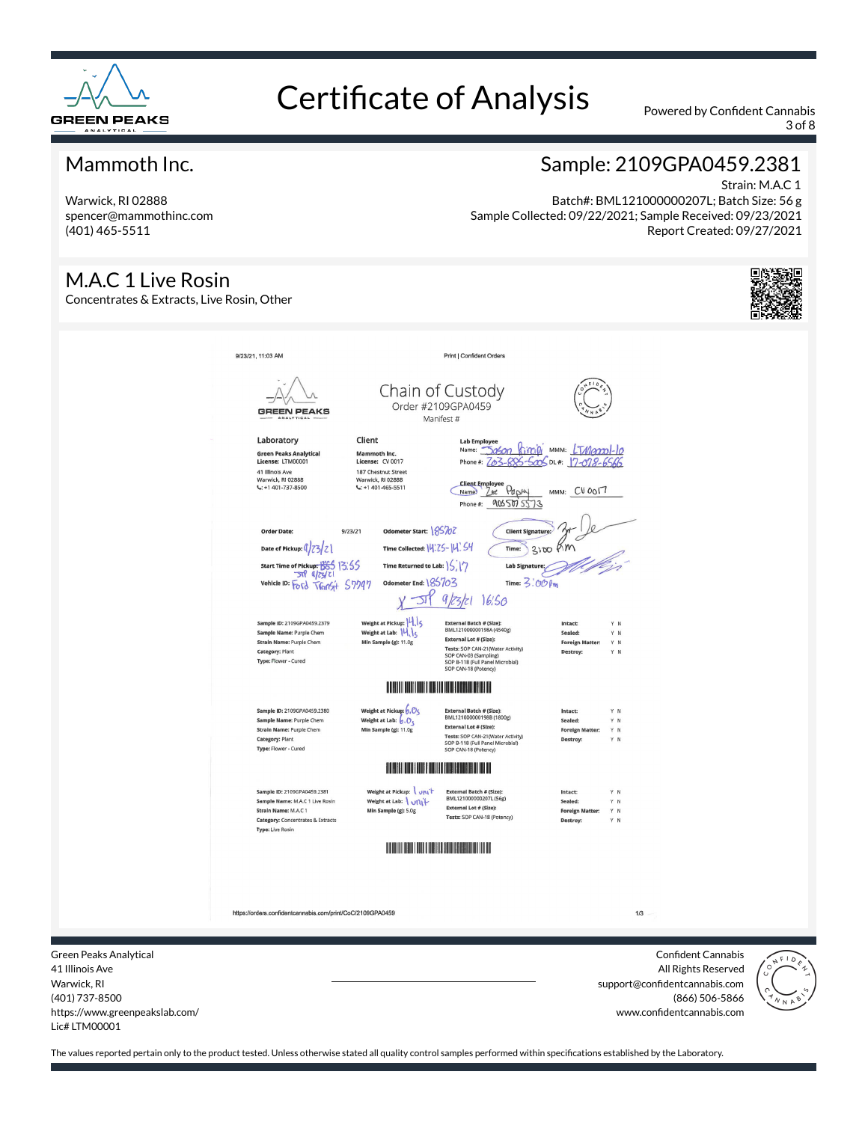

3 of 8

#### Mammoth Inc.

Warwick, RI 02888 spencer@mammothinc.com (401) 465-5511

#### Strain: M.A.C 1 Batch#: BML121000000207L; Batch Size: 56 g Sample Collected: 09/22/2021; Sample Received: 09/23/2021 Report Created: 09/27/2021

Sample: 2109GPA0459.2381

M.A.C 1 Live Rosin Concentrates & Extracts, Live Rosin, Other 9/23/21, 11:03 AM Print | Confident Orders Chain of Custody Order #2109GPA0459 GREEN PEAKS Manifest # Lab Employee<br>Name: <u>- Dagon Rimin'</u> MMM: <u>LTMannol-lo</u><br>Phone #: <u>Za3-885-500</u>5 DL#: <u>17-078-6566</u> Laboratory Client Green Peaks Analytical<br>License: LTM00001 Mammoth Inc.<br>License: CV 0017 41 Illinois Ave<br>Warwick, RI 02888<br>L: +1 401-737-8500 187 Chestnut Street<br>Warwick, RI 02888<br>C: +1 401-465-5511 Client Employee<br>Name Z<sub>bt</sub> Papey MMM: CUOOI7 Phone#: 9065075573 Order Date  $9/23/21$ Odometer Start: 185707 **Client Sip**  $3000$  Km Date of Pickup:  $\left(\frac{1}{2}Z\right)Z$ Time Collected: 14:25-14'. 54 Time: Start Time of Pickup: 665 13:55 Time Returned to Lab:  $|\zeta||\gamma$ Lab Sign  $-50$  $q|z|$ vehicle ID: Ford TVGINSI+ 57797 Odometer End:  $185703$ Time:  $3:000$ **SIP** 9/23/21 16:50 Weight at Pickup: 4 Sample ID: 2109GPA0459.2379 External Batch # (Size):<br>BML121000000198A (4540g) Weight at Lab: 14,15 Sample Name: Purple Chem External Lot # (Size): Strain Name: Purple Chem Min Sample (g): 11.0g Foreign Tests: SOP CAN-21(Water Activity)<br>SOP CAN-03 (Sampling)<br>SOP B-118 (Full Panel Microbial)<br>SOP B-118 (Full Panel Microbial) Category: Plant Type: Flower - Cured **THE REAL PROPERTY AND REAL PROPERTY** Sample ID: 2109GPA0459.2380 Weight at Pickup:  $\overline{\mathfrak{b}}$  ,  $\overline{\mathcal{O}}$   $\zeta$ E<mark>xternal Batch # (Size):</mark><br>BML121000000198B (1800g) Intact: Weight at Lab:  $\overline{6}$ ,  $\overline{O}_5$ <br>Min Sample (g): 11.0g Sample Name: Purple Chem Sealed: V N **External Lot # (Size):** Strain Name: Purple Chem **Foreign Mat** YN External Lot \* (aize),<br>Tests: SOP CAN-21(Water Activit<br>SOP B-118 (Full Panel Microbial)<br>SOP CAN-18 (Potency) Category: Plant Type: Flower - Cured **THE REAL PROPERTY OF PERSON** Sample ID: 2109GPA0459.2381 Weight at Pickup: vnit **External Batch # (Size):**<br>BML121000000207L (56g) Sample Name: M.A.C 1 Live Rosin Weight at Lab: \ uni+ External Lot # (Size): Strain Name: M.A.C.1 Min Sample (g): 5.0g Tests: SOP CAN-18 (Potency) Category: Concentrates & Extracts Type: Live Rosin https://orders.confidentcannabis.com/print/CoC/2109GPA0459  $1/3$ Green Peaks Analytical Confident Cannabis



All Rights Reserved support@confidentcannabis.com (866) 506-5866 www.confidentcannabis.com

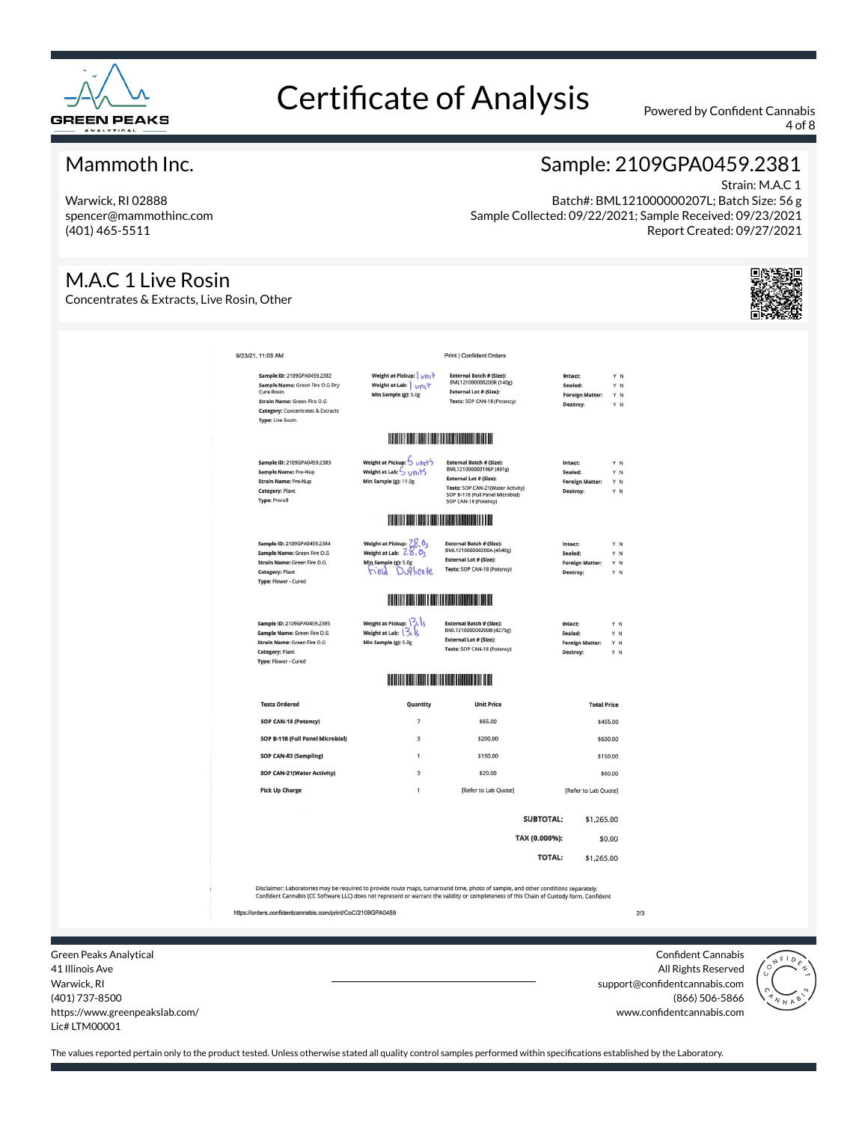

4 of 8

#### Mammoth Inc.

Warwick, RI 02888 spencer@mammothinc.com (401) 465-5511

#### M.A.C 1 Live Rosin

Concentrates & Extracts, Live Rosin, Other

### Sample: 2109GPA0459.2381

Strain: M.A.C 1 Batch#: BML121000000207L; Batch Size: 56 g Sample Collected: 09/22/2021; Sample Received: 09/23/2021 Report Created: 09/27/2021



| 9/23/21, 11:03 AM                                                                                                                                                                                                                                                              |                                                                                                                                                                                                                                      | <b>Print   Confident Orders</b>                                                                                                                                                              |                                                          |                          |  |
|--------------------------------------------------------------------------------------------------------------------------------------------------------------------------------------------------------------------------------------------------------------------------------|--------------------------------------------------------------------------------------------------------------------------------------------------------------------------------------------------------------------------------------|----------------------------------------------------------------------------------------------------------------------------------------------------------------------------------------------|----------------------------------------------------------|--------------------------|--|
| Sample ID: 2109GPA0459.2382<br>Sample Name: Green Fire O.G Dry<br>Cure Rosin<br>Strain Name: Green Fire O.G<br><b>Category: Concentrates &amp; Extracts</b><br><b>Type: Live Rosin</b>                                                                                         | Weight at Pickup:   vhit<br>Weight at Lab: Unit<br>Min Sample (g): 5.0g                                                                                                                                                              | <b>External Batch # (Size):</b><br>BML121000000200R (140g)<br><b>External Lot # (Size):</b><br>Tests: SOP CAN-18 (Potency)                                                                   | Intact:<br>Sealed:<br><b>Foreign Matter:</b><br>Destroy: | YN<br>Y N<br>YN<br>Y N   |  |
|                                                                                                                                                                                                                                                                                | <u>In the contract of the contract of the contract of the contract of the contract of the contract of the contract of the contract of the contract of the contract of the contract of the contract of the contract of the contra</u> |                                                                                                                                                                                              |                                                          |                          |  |
| Sample ID: 2109GPA0459.2383<br>Sample Name: Pre-Nup<br><b>Strain Name: Pre-Nup</b><br><b>Category: Plant</b><br><b>Type: Preroll</b>                                                                                                                                           | Weight at Pickup: 5 uhrt5<br>Weight at Lab: 5 Units<br>Min Sample (g): 11.0g                                                                                                                                                         | <b>External Batch # (Size):</b><br>BML121000000196P (491g)<br><b>External Lot # (Size):</b><br>Tests: SOP CAN-21(Water Activity)<br>SOP B-118 (Full Panel Microbial)<br>SOP CAN-18 (Potency) | Intact:<br>Sealed:<br><b>Foreign Matter:</b><br>Destroy: | Y N<br>Y N<br>Y N<br>Y N |  |
|                                                                                                                                                                                                                                                                                | BILITI I SILIF KULON DA BILI SILIKIN DA BILI SILIKIN DA BILI                                                                                                                                                                         |                                                                                                                                                                                              |                                                          |                          |  |
| Sample ID: 2109GPA0459.2384<br>Sample Name: Green Fire O.G<br>Strain Name: Green Fire O.G<br><b>Category: Plant</b><br>Type: Flower - Cured                                                                                                                                    | Weight at Pickup: $Z8.05$<br>Weight at Lab: $28.05$<br>Min Sample (g): 5.0g<br>tield DuPlicate                                                                                                                                       | <b>External Batch # (Size):</b><br>BML121000000200A (4540g)<br><b>External Lot # (Size):</b><br>Tests: SOP CAN-18 (Potency)                                                                  | Intact:<br>Sealed:<br><b>Foreign Matter:</b><br>Destroy: | Y N<br>Y N<br>Y N<br>Y N |  |
|                                                                                                                                                                                                                                                                                | <b>BERTHER AND RESIDENCE</b>                                                                                                                                                                                                         |                                                                                                                                                                                              |                                                          |                          |  |
| Sample ID: 2109GPA0459.2385<br>Sample Name: Green Fire O.G<br>Strain Name: Green Fire O.G<br><b>Category: Plant</b><br>Type: Flower - Cured                                                                                                                                    | Weight at Pickup: $\binom{3}{1}$<br>Weight at Lab: $\frac{3}{16}$<br>Min Sample (g): 5.0g                                                                                                                                            | <b>External Batch # (Size):</b><br>BML121000000200B (4275g)<br><b>External Lot # (Size):</b><br>Tests: SOP CAN-18 (Potency)                                                                  | Intact:<br>Sealed:<br><b>Foreign Matter:</b><br>Destroy: | Y N<br>YN<br>Y N<br>Y N  |  |
|                                                                                                                                                                                                                                                                                | <b>HERE IS A REPORT OF PERSON</b>                                                                                                                                                                                                    |                                                                                                                                                                                              |                                                          |                          |  |
| <b>Tests Ordered</b>                                                                                                                                                                                                                                                           | Quantity                                                                                                                                                                                                                             | <b>Unit Price</b>                                                                                                                                                                            |                                                          | <b>Total Price</b>       |  |
| SOP CAN-18 (Potency)                                                                                                                                                                                                                                                           | $\overline{7}$                                                                                                                                                                                                                       | \$65.00                                                                                                                                                                                      |                                                          | \$455.00                 |  |
| SOP B-118 (Full Panel Microbial)<br>SOP CAN-03 (Sampling)                                                                                                                                                                                                                      | $\overline{3}$<br>$\mathbf{1}$                                                                                                                                                                                                       | \$200.00<br>\$150.00                                                                                                                                                                         |                                                          | \$600.00<br>\$150.00     |  |
| SOP CAN-21(Water Activity)                                                                                                                                                                                                                                                     | $\overline{\mathbf{3}}$                                                                                                                                                                                                              | \$20.00                                                                                                                                                                                      |                                                          | \$60,00                  |  |
| <b>Pick Up Charge</b>                                                                                                                                                                                                                                                          | $\overline{1}$                                                                                                                                                                                                                       | [Refer to Lab Quote]                                                                                                                                                                         |                                                          | [Refer to Lab Quote]     |  |
|                                                                                                                                                                                                                                                                                |                                                                                                                                                                                                                                      |                                                                                                                                                                                              | <b>SUBTOTAL:</b>                                         | \$1,265.00               |  |
|                                                                                                                                                                                                                                                                                |                                                                                                                                                                                                                                      |                                                                                                                                                                                              | TAX (0.000%):                                            | \$0.00                   |  |
|                                                                                                                                                                                                                                                                                |                                                                                                                                                                                                                                      |                                                                                                                                                                                              | <b>TOTAL:</b>                                            | \$1,265.00               |  |
| Disclaimer: Laboratories may be required to provide route maps, turnaround time, photo of sample, and other conditions separately.<br>Confident Cannabis (CC Software LLC) does not represent or warrant the validity or completeness of this Chain of Custody form. Confident |                                                                                                                                                                                                                                      |                                                                                                                                                                                              |                                                          |                          |  |
|                                                                                                                                                                                                                                                                                |                                                                                                                                                                                                                                      |                                                                                                                                                                                              |                                                          |                          |  |

Green Peaks Analytical 41 Illinois Ave Warwick, RI (401) 737-8500 https://www.greenpeakslab.com/ Lic# LTM00001

Confident Cannabis All Rights Reserved support@confidentcannabis.com (866) 506-5866 www.confidentcannabis.com

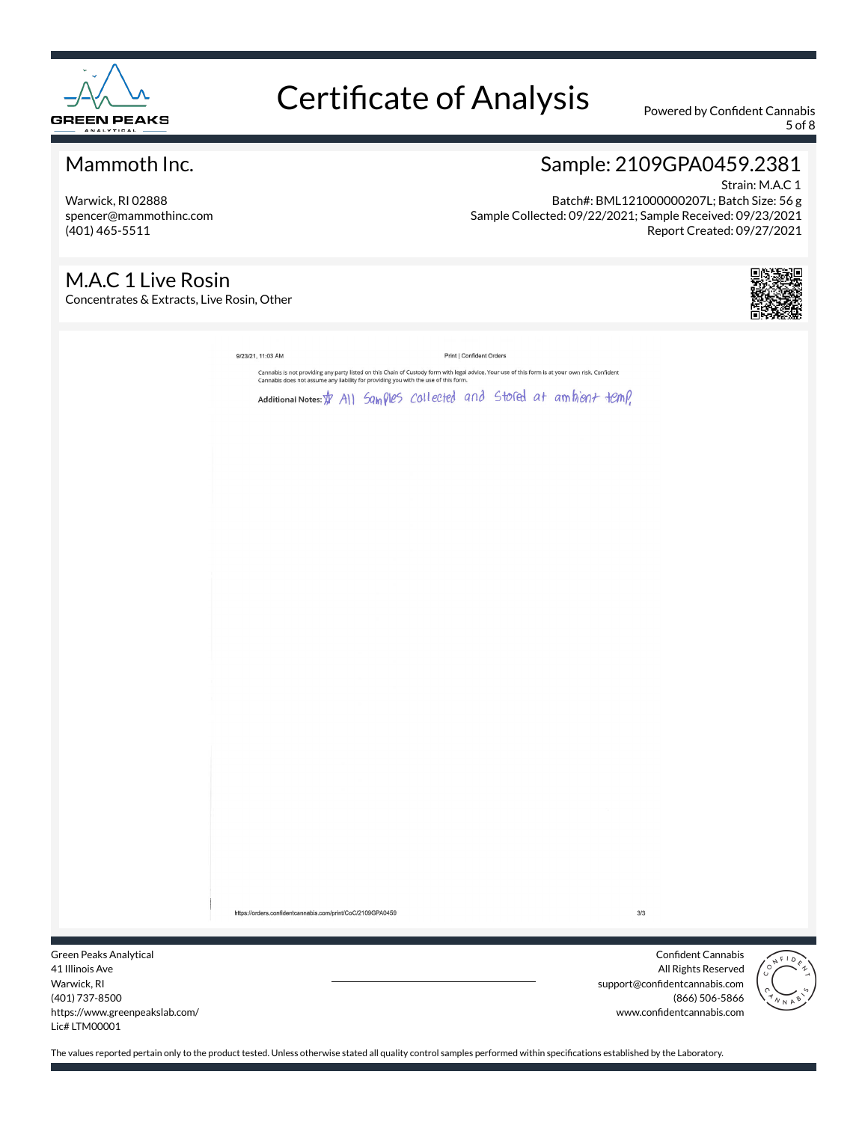

5 of 8

### Mammoth Inc.

Warwick, RI 02888 spencer@mammothinc.com (401) 465-5511

#### Sample: 2109GPA0459.2381 Strain: M.A.C 1

Batch#: BML121000000207L; Batch Size: 56 g Sample Collected: 09/22/2021; Sample Received: 09/23/2021 Report Created: 09/27/2021

### M.A.C 1 Live Rosin

Concentrates & Extracts, Live Rosin, Other



|                                                                                                                                                              | 9/23/21, 11:03 AM                                                                                                                                                                                                                       |  |  | Print   Confident Orders |  |  |  |       |                    |           |
|--------------------------------------------------------------------------------------------------------------------------------------------------------------|-----------------------------------------------------------------------------------------------------------------------------------------------------------------------------------------------------------------------------------------|--|--|--------------------------|--|--|--|-------|--------------------|-----------|
|                                                                                                                                                              | Cannabis is not providing any party listed on this Chain of Custody form with legal advice. Your use of this form is at your own risk. Confident<br>Cannabis does not assume any liability for providing you with the use of this form. |  |  |                          |  |  |  |       |                    |           |
|                                                                                                                                                              | Additional Notes: \$ All Samples collected and stoled at ambient temp,                                                                                                                                                                  |  |  |                          |  |  |  |       |                    |           |
|                                                                                                                                                              |                                                                                                                                                                                                                                         |  |  |                          |  |  |  |       |                    |           |
|                                                                                                                                                              |                                                                                                                                                                                                                                         |  |  |                          |  |  |  |       |                    |           |
|                                                                                                                                                              |                                                                                                                                                                                                                                         |  |  |                          |  |  |  |       |                    |           |
|                                                                                                                                                              |                                                                                                                                                                                                                                         |  |  |                          |  |  |  |       |                    |           |
|                                                                                                                                                              |                                                                                                                                                                                                                                         |  |  |                          |  |  |  |       |                    |           |
|                                                                                                                                                              |                                                                                                                                                                                                                                         |  |  |                          |  |  |  |       |                    |           |
|                                                                                                                                                              |                                                                                                                                                                                                                                         |  |  |                          |  |  |  |       |                    |           |
|                                                                                                                                                              |                                                                                                                                                                                                                                         |  |  |                          |  |  |  |       |                    |           |
|                                                                                                                                                              |                                                                                                                                                                                                                                         |  |  |                          |  |  |  |       |                    |           |
|                                                                                                                                                              |                                                                                                                                                                                                                                         |  |  |                          |  |  |  |       |                    |           |
|                                                                                                                                                              |                                                                                                                                                                                                                                         |  |  |                          |  |  |  |       |                    |           |
|                                                                                                                                                              |                                                                                                                                                                                                                                         |  |  |                          |  |  |  |       |                    |           |
|                                                                                                                                                              |                                                                                                                                                                                                                                         |  |  |                          |  |  |  |       |                    |           |
|                                                                                                                                                              |                                                                                                                                                                                                                                         |  |  |                          |  |  |  |       |                    |           |
|                                                                                                                                                              |                                                                                                                                                                                                                                         |  |  |                          |  |  |  |       |                    |           |
|                                                                                                                                                              |                                                                                                                                                                                                                                         |  |  |                          |  |  |  |       |                    |           |
|                                                                                                                                                              |                                                                                                                                                                                                                                         |  |  |                          |  |  |  |       |                    |           |
|                                                                                                                                                              |                                                                                                                                                                                                                                         |  |  |                          |  |  |  |       |                    |           |
|                                                                                                                                                              |                                                                                                                                                                                                                                         |  |  |                          |  |  |  |       |                    |           |
|                                                                                                                                                              |                                                                                                                                                                                                                                         |  |  |                          |  |  |  |       |                    |           |
|                                                                                                                                                              |                                                                                                                                                                                                                                         |  |  |                          |  |  |  |       |                    |           |
|                                                                                                                                                              |                                                                                                                                                                                                                                         |  |  |                          |  |  |  |       |                    |           |
|                                                                                                                                                              |                                                                                                                                                                                                                                         |  |  |                          |  |  |  |       |                    |           |
|                                                                                                                                                              |                                                                                                                                                                                                                                         |  |  |                          |  |  |  |       |                    |           |
|                                                                                                                                                              |                                                                                                                                                                                                                                         |  |  |                          |  |  |  |       |                    |           |
|                                                                                                                                                              |                                                                                                                                                                                                                                         |  |  |                          |  |  |  |       |                    |           |
|                                                                                                                                                              |                                                                                                                                                                                                                                         |  |  |                          |  |  |  |       |                    |           |
|                                                                                                                                                              | https://orders.confidentcannabis.com/print/CoC/2109GPA0459                                                                                                                                                                              |  |  |                          |  |  |  | $3/3$ |                    |           |
|                                                                                                                                                              |                                                                                                                                                                                                                                         |  |  |                          |  |  |  |       |                    |           |
| <s analytical<="" th=""><th></th><th></th><th></th><th></th><th></th><th></th><th></th><th></th><th>Confident Cannabis</th><th><math>\diagup</math></th></s> |                                                                                                                                                                                                                                         |  |  |                          |  |  |  |       | Confident Cannabis | $\diagup$ |

Green Peak 41 Illinois Ave Warwick, RI (401) 737-8500 https://www.greenpeakslab.com/ Lic# LTM00001

All Rights Reserved support@confidentcannabis.com (866) 506-5866 www.confidentcannabis.com

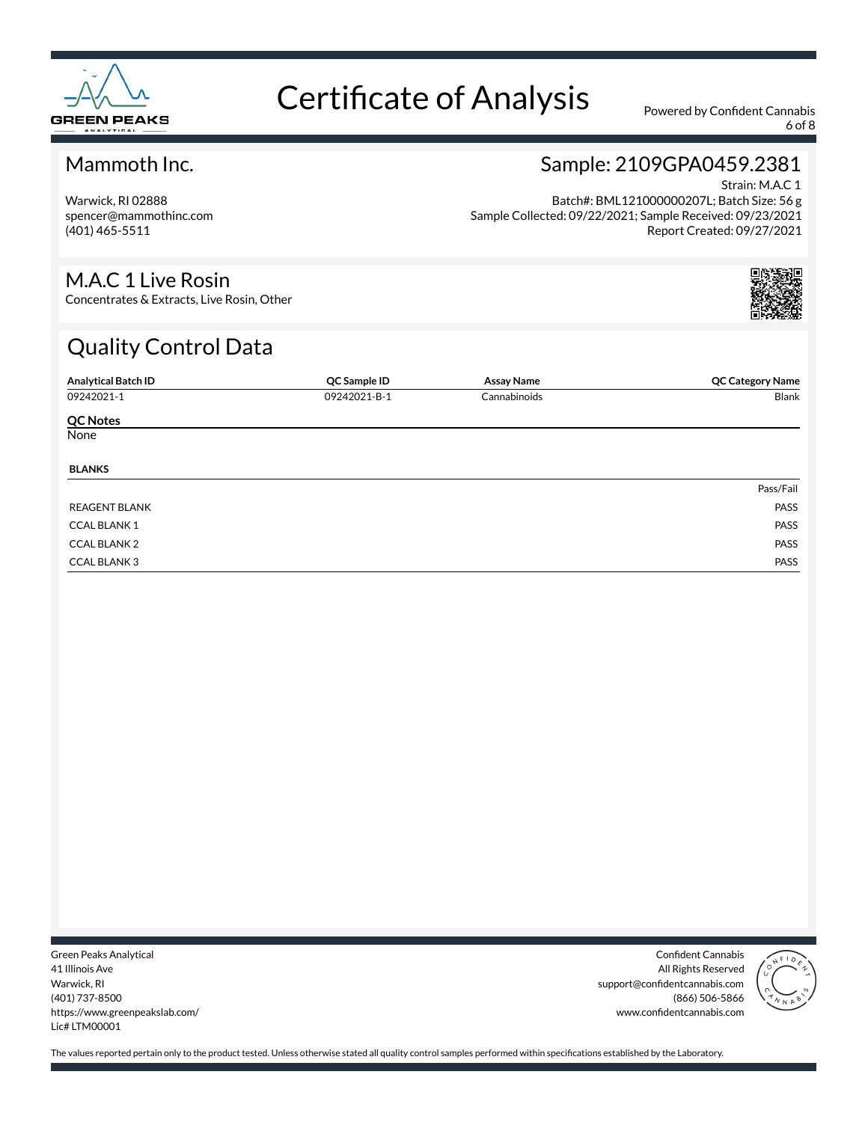

6 of 8

#### Mammoth Inc.

Warwick, RI 02888 spencer@mammothinc.com (401) 465-5511

### Sample: 2109GPA0459.2381

Strain: M.A.C 1 Batch#: BML121000000207L; Batch Size: 56 g Sample Collected: 09/22/2021; Sample Received: 09/23/2021 Report Created: 09/27/2021

#### M.A.C 1 Live Rosin

Concentrates & Extracts, Live Rosin, Other

## Quality Control Data

| <b>Analytical Batch ID</b> | QC Sample ID | <b>Assay Name</b> | <b>QC Category Name</b> |
|----------------------------|--------------|-------------------|-------------------------|
| 09242021-1                 | 09242021-B-1 | Cannabinoids      | Blank                   |
| <b>QC Notes</b>            |              |                   |                         |
| None                       |              |                   |                         |
| <b>BLANKS</b>              |              |                   |                         |
|                            |              |                   | Pass/Fail               |
| <b>REAGENT BLANK</b>       |              |                   | PASS                    |
| <b>CCAL BLANK 1</b>        |              |                   | PASS                    |
| <b>CCAL BLANK 2</b>        |              |                   | PASS                    |
| <b>CCAL BLANK3</b>         |              |                   | PASS                    |

Green Peaks Analytical 41 Illinois Ave Warwick, RI (401) 737-8500 https://www.greenpeakslab.com/ Lic# LTM00001

Confident Cannabis All Rights Reserved support@confidentcannabis.com (866) 506-5866 www.confidentcannabis.com

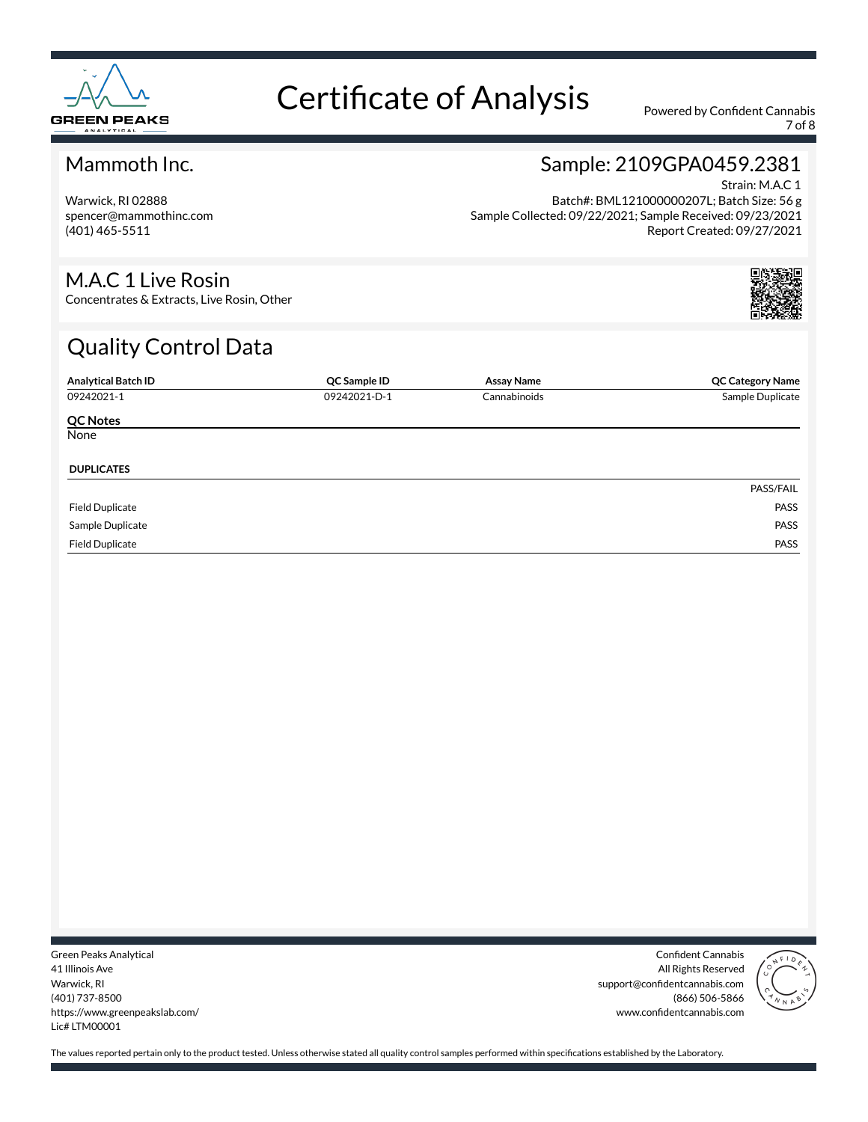

7 of 8

#### Mammoth Inc.

Warwick, RI 02888 spencer@mammothinc.com (401) 465-5511

### Sample: 2109GPA0459.2381

Strain: M.A.C 1 Batch#: BML121000000207L; Batch Size: 56 g Sample Collected: 09/22/2021; Sample Received: 09/23/2021 Report Created: 09/27/2021

#### M.A.C 1 Live Rosin

Concentrates & Extracts, Live Rosin, Other

## Quality Control Data

| <b>Analytical Batch ID</b> | QC Sample ID | <b>Assay Name</b> | <b>QC Category Name</b> |
|----------------------------|--------------|-------------------|-------------------------|
| 09242021-1                 | 09242021-D-1 | Cannabinoids      | Sample Duplicate        |
| <b>QC Notes</b>            |              |                   |                         |
| None                       |              |                   |                         |
| <b>DUPLICATES</b>          |              |                   |                         |
|                            |              |                   | PASS/FAIL               |
| <b>Field Duplicate</b>     |              |                   | PASS                    |
| Sample Duplicate           |              |                   | PASS                    |
| <b>Field Duplicate</b>     |              |                   | PASS                    |

Green Peaks Analytical 41 Illinois Ave Warwick, RI (401) 737-8500 https://www.greenpeakslab.com/ Lic# LTM00001

Confident Cannabis All Rights Reserved support@confidentcannabis.com (866) 506-5866 www.confidentcannabis.com